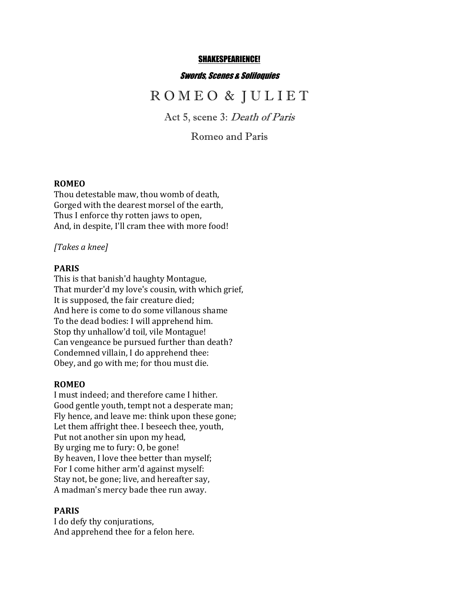#### SHAKESPEARIENCE!

#### Swords, Scenes & Soliloquies

# R O M E O & J U L I E T

Act 5, scene 3: Death of Paris

Romeo and Paris

## **ROMEO**

Thou detestable maw, thou womb of death, Gorged with the dearest morsel of the earth, Thus I enforce thy rotten jaws to open, And, in despite, I'll cram thee with more food!

#### *[Takes a knee]*

### **PARIS**

This is that banish'd haughty Montague, That murder'd my love's cousin, with which grief, It is supposed, the fair creature died; And here is come to do some villanous shame To the dead bodies: I will apprehend him. Stop thy unhallow'd toil, vile Montague! Can vengeance be pursued further than death? Condemned villain, I do apprehend thee: Obey, and go with me; for thou must die.

#### **ROMEO**

I must indeed; and therefore came I hither. Good gentle youth, tempt not a desperate man; Fly hence, and leave me: think upon these gone; Let them affright thee. I beseech thee, youth, Put not another sin upon my head, By urging me to fury: 0, be gone! By heaven, I love thee better than myself; For I come hither arm'd against myself: Stay not, be gone; live, and hereafter say, A madman's mercy bade thee run away.

#### **PARIS**

I do defy thy conjurations, And apprehend thee for a felon here.